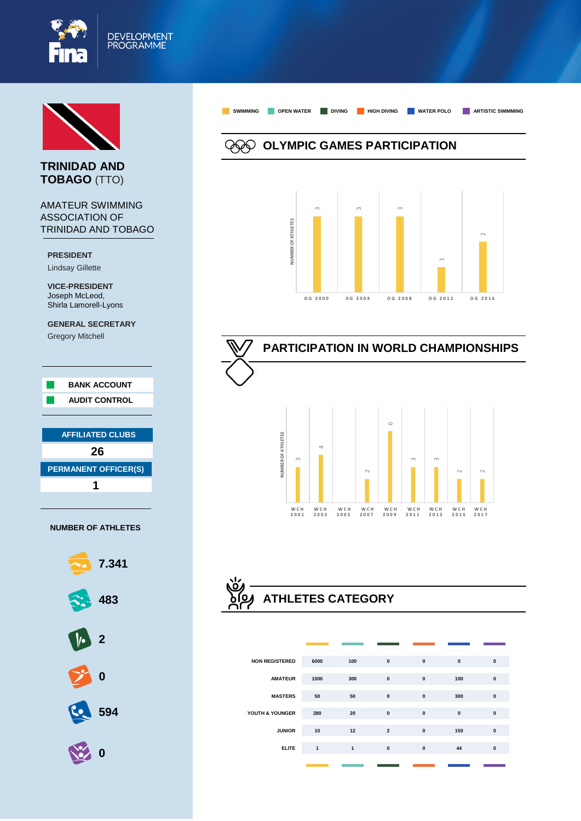



### **TRINIDAD AND TOBAGO** (TTO)

#### AMATEUR SWIMMING ASSOCIATION OF TRINIDAD AND TOBAGO

**PRESIDENT** Lindsay Gillette

**VICE-PRESIDENT**  Joseph McLeod, Shirla Lamorell-Lyons

**GENERAL SECRETARY** Gregory Mitchell





**OLYMPIC GAMES PARTICIPATION**

**SWIMMING OPEN WATER DIVING HIGH DIVING WATER POLO ARTISTIC SWIMMING**



# **PARTICIPATION IN WORLD CHAMPIONSHIPS**



# **ATHLETES CATEGORY**

| <b>NON REGISTERED</b> | 6000         | 100          | $\pmb{0}$      | $\pmb{0}$    | $\pmb{0}$    | $\mathbf{0}$ |
|-----------------------|--------------|--------------|----------------|--------------|--------------|--------------|
| <b>AMATEUR</b>        | 1000         | 300          | $\pmb{0}$      | $\pmb{0}$    | 100          | $\mathbf{0}$ |
| <b>MASTERS</b>        | 50           | 50           | $\mathbf{0}$   | $\pmb{0}$    | 300          | $\mathbf{0}$ |
| YOUTH & YOUNGER       | 280          | 20           | $\mathbf{0}$   | $\mathbf{0}$ | $\mathbf{0}$ | $\mathbf{0}$ |
| <b>JUNIOR</b>         | 10           | 12           | $\overline{2}$ | $\mathbf{0}$ | 150          | $\mathbf{0}$ |
| <b>ELITE</b>          | $\mathbf{1}$ | $\mathbf{1}$ | $\mathbf{0}$   | $\pmb{0}$    | 44           | $\mathbf{0}$ |
|                       |              |              |                |              |              |              |